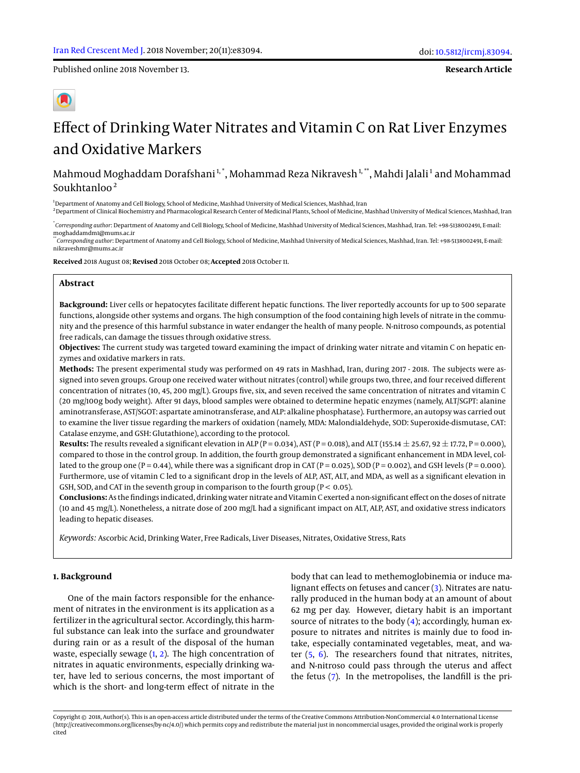Published online 2018 November 13.

**Research Article**

# Effect of Drinking Water Nitrates and Vitamin C on Rat Liver Enzymes and Oxidative Markers

# Mahmoud Moghaddam Dorafshani  $^{\rm 1, *}$ , Mohammad Reza Nikravesh  $^{\rm 1, **}$ , Mahdi Jalali  $^{\rm 1}$  and Mohammad Soukhtanloo $2$

<sup>1</sup>Department of Anatomy and Cell Biology, School of Medicine, Mashhad University of Medical Sciences, Mashhad, Iran

<sup>2</sup>Department of Clinical Biochemistry and Pharmacological Research Center of Medicinal Plants, School of Medicine, Mashhad University of Medical Sciences, Mashhad, Iran

\* *Corresponding author*: Department of Anatomy and Cell Biology, School of Medicine, Mashhad University of Medical Sciences, Mashhad, Iran. Tel: +98-5138002491, E-mail: moghaddamdm1@mums.ac.ir

\*\**Corresponding author*: Department of Anatomy and Cell Biology, School of Medicine, Mashhad University of Medical Sciences, Mashhad, Iran. Tel: +98-5138002491, E-mail: nikraveshmr@mums.ac.ir

**Received** 2018 August 08; **Revised** 2018 October 08; **Accepted** 2018 October 11.

#### **Abstract**

**Background:** Liver cells or hepatocytes facilitate different hepatic functions. The liver reportedly accounts for up to 500 separate functions, alongside other systems and organs. The high consumption of the food containing high levels of nitrate in the community and the presence of this harmful substance in water endanger the health of many people. N-nitroso compounds, as potential free radicals, can damage the tissues through oxidative stress.

**Objectives:** The current study was targeted toward examining the impact of drinking water nitrate and vitamin C on hepatic enzymes and oxidative markers in rats.

**Methods:** The present experimental study was performed on 49 rats in Mashhad, Iran, during 2017 - 2018. The subjects were assigned into seven groups. Group one received water without nitrates (control) while groups two, three, and four received different concentration of nitrates (10, 45, 200 mg/L). Groups five, six, and seven received the same concentration of nitrates and vitamin C (20 mg/100g body weight). After 91 days, blood samples were obtained to determine hepatic enzymes (namely, ALT/SGPT: alanine aminotransferase, AST/SGOT: aspartate aminotransferase, and ALP: alkaline phosphatase). Furthermore, an autopsy was carried out to examine the liver tissue regarding the markers of oxidation (namely, MDA: Malondialdehyde, SOD: Superoxide-dismutase, CAT: Catalase enzyme, and GSH: Glutathione), according to the protocol.

**Results:** The results revealed a significant elevation in ALP (P = 0.034), AST (P = 0.018), and ALT (155.14  $\pm$  25.67, 92  $\pm$  17.72, P = 0.000), compared to those in the control group. In addition, the fourth group demonstrated a significant enhancement in MDA level, collated to the group one (P = 0.44), while there was a significant drop in CAT (P = 0.025), SOD (P = 0.002), and GSH levels (P = 0.000). Furthermore, use of vitamin C led to a significant drop in the levels of ALP, AST, ALT, and MDA, as well as a significant elevation in GSH, SOD, and CAT in the seventh group in comparison to the fourth group  $(P < 0.05)$ .

**Conclusions:** As the findings indicated, drinking water nitrate and Vitamin C exerted a non-significant effect on the doses of nitrate (10 and 45 mg/L). Nonetheless, a nitrate dose of 200 mg/L had a significant impact on ALT, ALP, AST, and oxidative stress indicators leading to hepatic diseases.

*Keywords:* Ascorbic Acid, Drinking Water, Free Radicals, Liver Diseases, Nitrates, Oxidative Stress, Rats

#### **1. Background**

One of the main factors responsible for the enhancement of nitrates in the environment is its application as a fertilizer in the agricultural sector. Accordingly, this harmful substance can leak into the surface and groundwater during rain or as a result of the disposal of the human waste, especially sewage  $(1, 2)$  $(1, 2)$  $(1, 2)$ . The high concentration of nitrates in aquatic environments, especially drinking water, have led to serious concerns, the most important of which is the short- and long-term effect of nitrate in the

body that can lead to methemoglobinemia or induce malignant effects on fetuses and cancer [\(3\)](#page-6-2). Nitrates are naturally produced in the human body at an amount of about 62 mg per day. However, dietary habit is an important source of nitrates to the body [\(4\)](#page-6-3); accordingly, human exposure to nitrates and nitrites is mainly due to food intake, especially contaminated vegetables, meat, and water  $(5, 6)$  $(5, 6)$  $(5, 6)$ . The researchers found that nitrates, nitrites, and N-nitroso could pass through the uterus and affect the fetus [\(7\)](#page-6-6). In the metropolises, the landfill is the pri-

Copyright © 2018, Author(s). This is an open-access article distributed under the terms of the Creative Commons Attribution-NonCommercial 4.0 International License (http://creativecommons.org/licenses/by-nc/4.0/) which permits copy and redistribute the material just in noncommercial usages, provided the original work is properly cited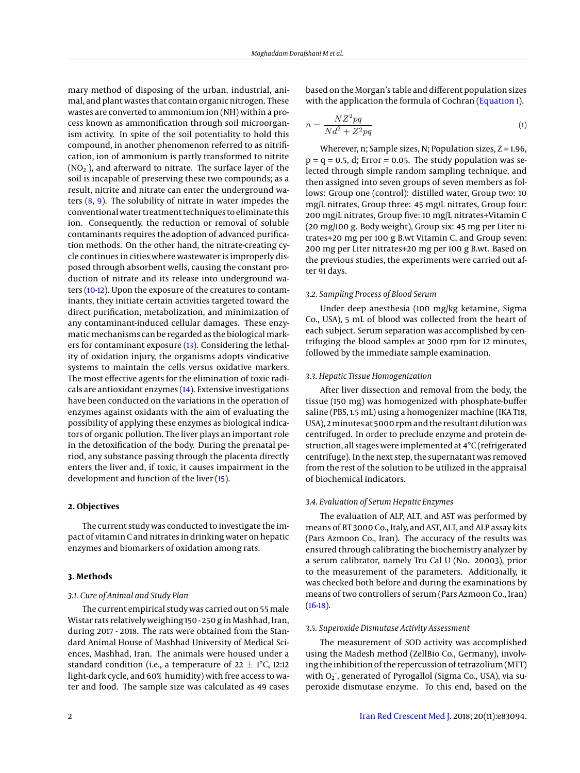mary method of disposing of the urban, industrial, animal, and plant wastes that contain organic nitrogen. These wastes are converted to ammonium ion (NH) within a process known as ammonification through soil microorganism activity. In spite of the soil potentiality to hold this compound, in another phenomenon referred to as nitrification, ion of ammonium is partly transformed to nitrite  $(NO<sub>2</sub>$ <sup>-</sup>), and afterward to nitrate. The surface layer of the soil is incapable of preserving these two compounds; as a result, nitrite and nitrate can enter the underground waters  $(8, 9)$  $(8, 9)$  $(8, 9)$ . The solubility of nitrate in water impedes the conventional water treatment techniques to eliminate this ion. Consequently, the reduction or removal of soluble contaminants requires the adoption of advanced purification methods. On the other hand, the nitrate-creating cycle continues in cities where wastewater is improperly disposed through absorbent wells, causing the constant production of nitrate and its release into underground waters [\(10-](#page-6-9)[12\)](#page-6-10). Upon the exposure of the creatures to contaminants, they initiate certain activities targeted toward the direct purification, metabolization, and minimization of any contaminant-induced cellular damages. These enzymatic mechanisms can be regarded as the biological markers for contaminant exposure [\(13\)](#page-6-11). Considering the lethality of oxidation injury, the organisms adopts vindicative systems to maintain the cells versus oxidative markers. The most effective agents for the elimination of toxic radicals are antioxidant enzymes [\(14\)](#page-6-12). Extensive investigations have been conducted on the variations in the operation of enzymes against oxidants with the aim of evaluating the possibility of applying these enzymes as biological indicators of organic pollution. The liver plays an important role in the detoxification of the body. During the prenatal period, any substance passing through the placenta directly enters the liver and, if toxic, it causes impairment in the development and function of the liver [\(15\)](#page-6-13).

#### **2. Objectives**

The current study was conducted to investigate the impact of vitamin C and nitrates in drinking water on hepatic enzymes and biomarkers of oxidation among rats.

#### **3. Methods**

## <span id="page-1-0"></span>*3.1. Cure of Animal and Study Plan*

The current empirical study was carried out on 55 male Wistar rats relatively weighing 150 - 250 g in Mashhad, Iran, during 2017 - 2018. The rats were obtained from the Standard Animal House of Mashhad University of Medical Sciences, Mashhad, Iran. The animals were housed under a standard condition (i.e., a temperature of  $22 \pm 1$ °C, 12:12 light-dark cycle, and 60% humidity) with free access to water and food. The sample size was calculated as 49 cases

based on the Morgan's table and different population sizes with the application the formula of Cochran [\(Equation 1\)](#page-1-0).

$$
n = \frac{NZ^2pq}{Nd^2 + Z^2pq} \tag{1}
$$

Wherever, n; Sample sizes, N; Population sizes,  $Z = 1.96$ ,  $p = q = 0.5$ , d; Error = 0.05. The study population was selected through simple random sampling technique, and then assigned into seven groups of seven members as follows: Group one (control): distilled water, Group two: 10 mg/L nitrates, Group three: 45 mg/L nitrates, Group four: 200 mg/L nitrates, Group five: 10 mg/L nitrates+Vitamin C (20 mg/100 g. Body weight), Group six: 45 mg per Liter nitrates+20 mg per 100 g B.wt Vitamin C, and Group seven: 200 mg per Liter nitrates+20 mg per 100 g B.wt. Based on the previous studies, the experiments were carried out after 91 days.

#### *3.2. Sampling Process of Blood Serum*

Under deep anesthesia (100 mg/kg ketamine, Sigma Co., USA), 5 mL of blood was collected from the heart of each subject. Serum separation was accomplished by centrifuging the blood samples at 3000 rpm for 12 minutes, followed by the immediate sample examination.

#### *3.3. Hepatic Tissue Homogenization*

After liver dissection and removal from the body, the tissue (150 mg) was homogenized with phosphate-buffer saline (PBS, 1.5 mL) using a homogenizer machine (IKA T18, USA), 2minutes at 5000 rpm and the resultant dilution was centrifuged. In order to preclude enzyme and protein destruction, all stages were implemented at 4°C (refrigerated centrifuge). In the next step, the supernatant was removed from the rest of the solution to be utilized in the appraisal of biochemical indicators.

#### *3.4. Evaluation of Serum Hepatic Enzymes*

The evaluation of ALP, ALT, and AST was performed by means of BT 3000 Co., Italy, and AST, ALT, and ALP assay kits (Pars Azmoon Co., Iran). The accuracy of the results was ensured through calibrating the biochemistry analyzer by a serum calibrator, namely Tru Cal U (No. 20003), prior to the measurement of the parameters. Additionally, it was checked both before and during the examinations by means of two controllers of serum (Pars Azmoon Co., Iran)  $(16-18).$  $(16-18).$  $(16-18).$ 

#### <span id="page-1-1"></span>*3.5. Superoxide Dismutase Activity Assessment*

The measurement of SOD activity was accomplished using the Madesh method (ZellBio Co., Germany), involving the inhibition of the repercussion of tetrazolium (MTT) with O<sub>2</sub><sup>,</sup> generated of Pyrogallol (Sigma Co., USA), via superoxide dismutase enzyme. To this end, based on the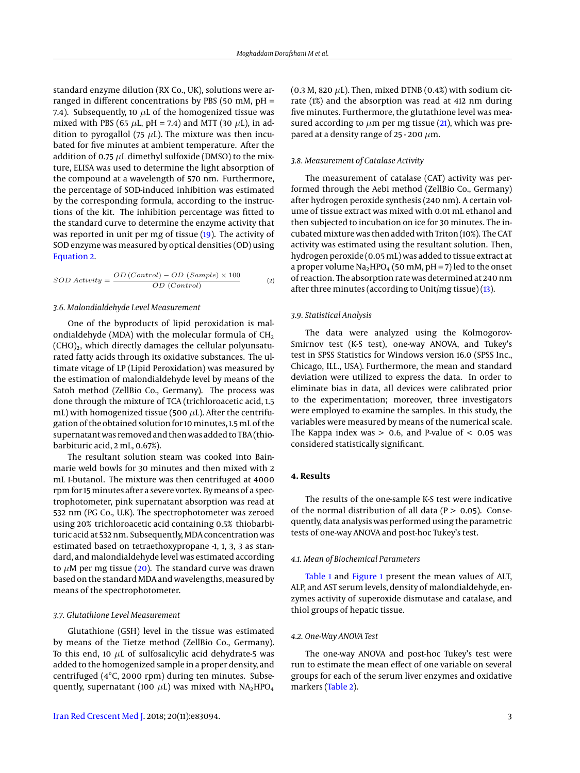standard enzyme dilution (RX Co., UK), solutions were arranged in different concentrations by PBS (50 mM, pH = 7.4). Subsequently, 10  $\mu$ L of the homogenized tissue was mixed with PBS (65  $\mu$ L, pH = 7.4) and MTT (30  $\mu$ L), in addition to pyrogallol (75  $\mu$ L). The mixture was then incubated for five minutes at ambient temperature. After the addition of 0.75  $\mu$ L dimethyl sulfoxide (DMSO) to the mixture, ELISA was used to determine the light absorption of the compound at a wavelength of 570 nm. Furthermore, the percentage of SOD-induced inhibition was estimated by the corresponding formula, according to the instructions of the kit. The inhibition percentage was fitted to the standard curve to determine the enzyme activity that was reported in unit per mg of tissue [\(19\)](#page-6-16). The activity of SOD enzyme was measured by optical densities (OD) using [Equation 2.](#page-1-1)

$$
SOD \; Activity = \frac{OD (Control) - OD (Sample) \times 100}{OD (Control)}
$$
 (2)

#### *3.6. Malondialdehyde Level Measurement*

One of the byproducts of lipid peroxidation is malondialdehyde (MDA) with the molecular formula of  $CH<sub>2</sub>$ (CHO)2, which directly damages the cellular polyunsaturated fatty acids through its oxidative substances. The ultimate vitage of LP (Lipid Peroxidation) was measured by the estimation of malondialdehyde level by means of the Satoh method (ZellBio Co., Germany). The process was done through the mixture of TCA (trichloroacetic acid, 1.5 mL) with homogenized tissue (500  $\mu$ L). After the centrifugation of the obtained solution for 10minutes, 1.5mL of the supernatant was removed and then was added to TBA (thiobarbituric acid, 2 mL, 0.67%).

The resultant solution steam was cooked into Bainmarie weld bowls for 30 minutes and then mixed with 2 mL 1-butanol. The mixture was then centrifuged at 4000 rpm for 15 minutes after a severe vortex. By means of a spectrophotometer, pink supernatant absorption was read at 532 nm (PG Co., U.K). The spectrophotometer was zeroed using 20% trichloroacetic acid containing 0.5% thiobarbituric acid at 532 nm. Subsequently, MDA concentration was estimated based on tetraethoxypropane -1, 1, 3, 3 as standard, and malondialdehyde level was estimated according to  $\mu$ M per mg tissue [\(20\)](#page-6-17). The standard curve was drawn based on the standard MDA and wavelengths, measured by means of the spectrophotometer.

#### *3.7. Glutathione Level Measurement*

Glutathione (GSH) level in the tissue was estimated by means of the Tietze method (ZellBio Co., Germany). To this end, 10  $\mu$ L of sulfosalicylic acid dehydrate-5 was added to the homogenized sample in a proper density, and centrifuged (4°C, 2000 rpm) during ten minutes. Subsequently, supernatant (100  $\mu$ L) was mixed with NA<sub>2</sub>HPO<sub>4</sub>

(0.3 M, 820  $\mu$ L). Then, mixed DTNB (0.4%) with sodium citrate (1%) and the absorption was read at 412 nm during five minutes. Furthermore, the glutathione level was measured according to  $\mu$ m per mg tissue [\(21\)](#page-6-18), which was prepared at a density range of 25 - 200  $\mu$ m.

#### *3.8. Measurement of Catalase Activity*

The measurement of catalase (CAT) activity was performed through the Aebi method (ZellBio Co., Germany) after hydrogen peroxide synthesis (240 nm). A certain volume of tissue extract was mixed with 0.01 mL ethanol and then subjected to incubation on ice for 30 minutes. The incubated mixture was then added with Triton (10%). The CAT activity was estimated using the resultant solution. Then, hydrogen peroxide (0.05mL) was added to tissue extract at a proper volume  $Na<sub>2</sub>HPO<sub>4</sub>$  (50 mM, pH = 7) led to the onset of reaction. The absorption rate was determined at 240 nm after three minutes (according to Unit/mg tissue) [\(13\)](#page-6-11).

#### *3.9. Statistical Analysis*

The data were analyzed using the Kolmogorov-Smirnov test (K-S test), one-way ANOVA, and Tukey's test in SPSS Statistics for Windows version 16.0 (SPSS Inc., Chicago, ILL., USA). Furthermore, the mean and standard deviation were utilized to express the data. In order to eliminate bias in data, all devices were calibrated prior to the experimentation; moreover, three investigators were employed to examine the samples. In this study, the variables were measured by means of the numerical scale. The Kappa index was  $> 0.6$ , and P-value of  $< 0.05$  was considered statistically significant.

#### **4. Results**

The results of the one-sample K-S test were indicative of the normal distribution of all data ( $P > 0.05$ ). Consequently, data analysis was performed using the parametric tests of one-way ANOVA and post-hoc Tukey's test.

#### *4.1. Mean of Biochemical Parameters*

[Table 1](#page-3-0) and [Figure 1](#page-3-1) present the mean values of ALT, ALP, and AST serum levels, density of malondialdehyde, enzymes activity of superoxide dismutase and catalase, and thiol groups of hepatic tissue.

#### *4.2. One-Way ANOVA Test*

The one-way ANOVA and post-hoc Tukey's test were run to estimate the mean effect of one variable on several groups for each of the serum liver enzymes and oxidative markers [\(Table 2\)](#page-4-0).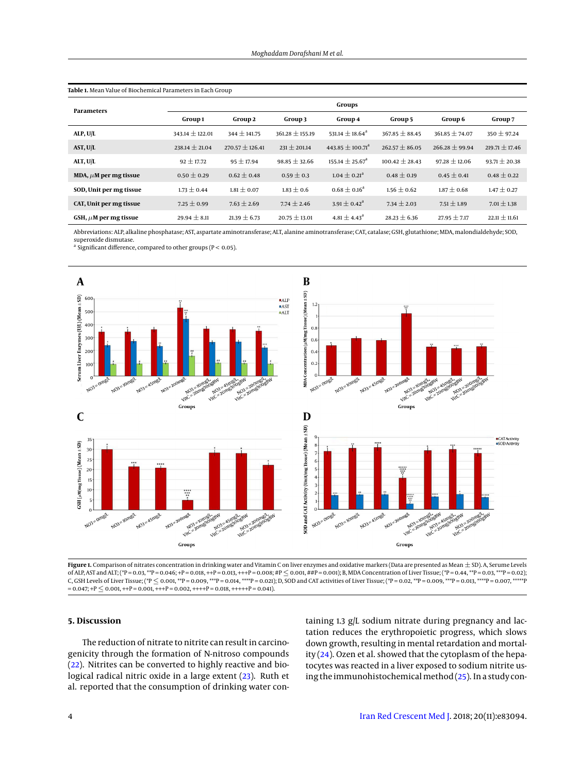| Parameters                 | Groups              |                     |                     |                                  |                    |                    |                    |  |  |
|----------------------------|---------------------|---------------------|---------------------|----------------------------------|--------------------|--------------------|--------------------|--|--|
|                            | Group 1             | Group 2             | Group 3             | Group 4                          | Group 5            | Group 6            | Group 7            |  |  |
| ALP, U/L                   | $343.14 \pm 122.01$ | $344 \pm 141.75$    | $361.28 \pm 155.19$ | 531.14 $\pm$ 18.64 <sup>a</sup>  | $367.85 \pm 88.45$ | $361.85 \pm 74.07$ | $350 \pm 97.24$    |  |  |
| AST, U/L                   | $238.14 \pm 21.04$  | $270.57 \pm 126.41$ | $231 \pm 201.14$    | 443.85 $\pm$ 100.71 <sup>a</sup> | $262.57 \pm 86.05$ | $266.28 \pm 99.94$ | $219.71 \pm 17.46$ |  |  |
| ALT, U/L                   | $92 \pm 17.72$      | $95 \pm 17.94$      | $98.85 \pm 32.66$   | $155.14 \pm 25.67$ <sup>a</sup>  | $100.42 \pm 28.43$ | $97.28 \pm 12.06$  | $93.71 \pm 20.38$  |  |  |
| MDA, $\mu$ M per mg tissue | $0.50 \pm 0.29$     | $0.62 \pm 0.48$     | $0.59 \pm 0.3$      | $1.04 \pm 0.21$ <sup>a</sup>     | $0.48 \pm 0.19$    | $0.45 \pm 0.41$    | $0.48 \pm 0.22$    |  |  |
| SOD, Unit per mg tissue    | $1.73 \pm 0.44$     | $1.81 \pm 0.07$     | $1.83 \pm 0.6$      | $0.68 \pm 0.16^a$                | $1.56 \pm 0.62$    | $1.87 \pm 0.68$    | $1.47 \pm 0.27$    |  |  |
| CAT, Unit per mg tissue    | $7.25 \pm 0.99$     | $7.63 \pm 2.69$     | $7.74 \pm 2.46$     | $3.91 \pm 0.42^{\rm a}$          | $7.34 \pm 2.03$    | $7.51 \pm 1.89$    | $7.01 \pm 1.38$    |  |  |
| GSH, $\mu$ M per mg tissue | $29.94 \pm 8.11$    | $21.39 \pm 6.73$    | $20.75 \pm 13.01$   | $4.81 \pm 4.43^{\circ}$          | $28.23 \pm 6.36$   | $27.95 \pm 7.17$   | $22.11 \pm 11.61$  |  |  |

<span id="page-3-0"></span>**Table 1.** Mean Value of Biochemical Parameters in Each Group

Abbreviations: ALP, alkaline phosphatase; AST, aspartate aminotransferase; ALT, alanine aminotransferase; CAT, catalase; GSH, glutathione; MDA, malondialdehyde; SOD, superoxide dismutase.

<sup>a</sup> Significant difference, compared to other groups ( $P < 0.05$ ).

<span id="page-3-1"></span>

**Figure 1.** Comparison of nitrates concentration in drinking water and Vitamin C on liver enzymes and oxidative markers (Data are presented as Mean ± SD). A, Serume Levels of ALP, AST and ALT; (\*P = 0.03, \*\*P = 0.046; +P = 0.018, ++P = 0.013, +++P = 0.008; #P ≤ 0.001, ##P = 0.001); B, MDA Concentration of Liver Tissue; (\*P = 0.44, \*\*P = 0.03, \*\*\*P = 0.02); C, GSH Levels of Liver Tissue; (\*P  $\leq$  0.001, \*\*P = 0.009, \*\*\*P = 0.014, \*\*\*P = 0.021); D, SOD and CAT activities of Liver Tissue; (\*P = 0.02, \*\*\*P = 0.013, \*\*\*\*P = 0.013, \*\*\*\*P = 0.007, \*\*\*\*\*P  $= 0.047$ ; +P  $\leq 0.001$ , ++P = 0.001, +++P = 0.002, ++++P = 0.018, +++++P = 0.041).

### **5. Discussion**

The reduction of nitrate to nitrite can result in carcinogenicity through the formation of N-nitroso compounds [\(22\)](#page-6-19). Nitrites can be converted to highly reactive and biological radical nitric oxide in a large extent [\(23\)](#page-6-20). Ruth et al. reported that the consumption of drinking water containing 1.3 g/L sodium nitrate during pregnancy and lactation reduces the erythropoietic progress, which slows down growth, resulting in mental retardation and mortality [\(24\)](#page-6-21). Ozen et al. showed that the cytoplasm of the hepatocytes was reacted in a liver exposed to sodium nitrite using the immunohistochemical method  $(25)$ . In a study con-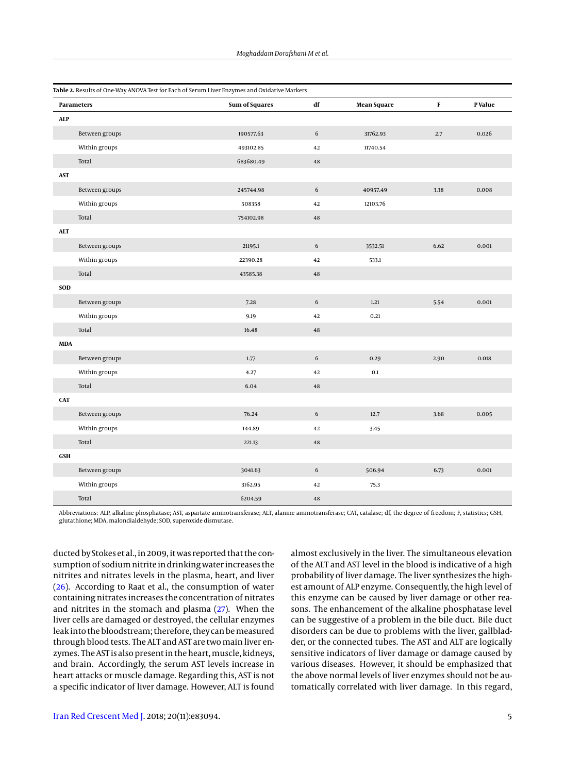<span id="page-4-0"></span>

|            | Parameters     | <b>Sum of Squares</b> | $\bf df$    | <b>Mean Square</b> | F    | P Value |
|------------|----------------|-----------------------|-------------|--------------------|------|---------|
| <b>ALP</b> |                |                       |             |                    |      |         |
|            | Between groups | 190577.63             | $\sqrt{6}$  | 31762.93           | 2.7  | 0.026   |
|            | Within groups  | 493102.85             | 42          | 11740.54           |      |         |
|            | Total          | 683680.49             | $\bf 48$    |                    |      |         |
| <b>AST</b> |                |                       |             |                    |      |         |
|            | Between groups | 245744.98             | $\,$ 6 $\,$ | 40957.49           | 3.38 | 0.008   |
|            | Within groups  | 508358                | 42          | 12103.76           |      |         |
|            | Total          | 754102.98             | 48          |                    |      |         |
| <b>ALT</b> |                |                       |             |                    |      |         |
|            | Between groups | 21195.1               | $\sqrt{6}$  | 3532.51            | 6.62 | 0.001   |
|            | Within groups  | 22390.28              | 42          | 533.1              |      |         |
|            | Total          | 43585.38              | $\bf 48$    |                    |      |         |
| <b>SOD</b> |                |                       |             |                    |      |         |
|            | Between groups | 7.28                  | $\,$ 6 $\,$ | 1.21               | 5.54 | 0.001   |
|            | Within groups  | 9.19                  | 42          | 0.21               |      |         |
|            | Total          | 16.48                 | 48          |                    |      |         |
| <b>MDA</b> |                |                       |             |                    |      |         |
|            | Between groups | 1.77                  | $\sqrt{6}$  | 0.29               | 2.90 | 0.018   |
|            | Within groups  | 4.27                  | 42          | 0.1                |      |         |
|            | Total          | 6.04                  | 48          |                    |      |         |
| <b>CAT</b> |                |                       |             |                    |      |         |
|            | Between groups | 76.24                 | $\sqrt{6}$  | 12.7               | 3.68 | 0.005   |
|            | Within groups  | 144.89                | 42          | 3.45               |      |         |
|            | Total          | 221.13                | $\bf 48$    |                    |      |         |
| <b>GSH</b> |                |                       |             |                    |      |         |
|            | Between groups | 3041.63               | $\sqrt{6}$  | 506.94             | 6.73 | 0.001   |
|            | Within groups  | 3162.95               | 42          | 75.3               |      |         |
|            | Total          | 6204.59               | 48          |                    |      |         |

Abbreviations: ALP, alkaline phosphatase; AST, aspartate aminotransferase; ALT, alanine aminotransferase; CAT, catalase; df, the degree of freedom; F, statistics; GSH, glutathione; MDA, malondialdehyde; SOD, superoxide dismutase.

ducted by Stokes et al., in 2009, it was reported that the consumption of sodium nitrite in drinking water increases the nitrites and nitrates levels in the plasma, heart, and liver [\(26\)](#page-6-23). According to Raat et al., the consumption of water containing nitrates increases the concentration of nitrates and nitrites in the stomach and plasma [\(27\)](#page-6-24). When the liver cells are damaged or destroyed, the cellular enzymes leak into the bloodstream; therefore, they can bemeasured through blood tests. The ALT and AST are two main liver enzymes. The AST is also present in the heart, muscle, kidneys, and brain. Accordingly, the serum AST levels increase in heart attacks or muscle damage. Regarding this, AST is not a specific indicator of liver damage. However, ALT is found

almost exclusively in the liver. The simultaneous elevation of the ALT and AST level in the blood is indicative of a high probability of liver damage. The liver synthesizes the highest amount of ALP enzyme. Consequently, the high level of this enzyme can be caused by liver damage or other reasons. The enhancement of the alkaline phosphatase level can be suggestive of a problem in the bile duct. Bile duct disorders can be due to problems with the liver, gallbladder, or the connected tubes. The AST and ALT are logically sensitive indicators of liver damage or damage caused by various diseases. However, it should be emphasized that the above normal levels of liver enzymes should not be automatically correlated with liver damage. In this regard,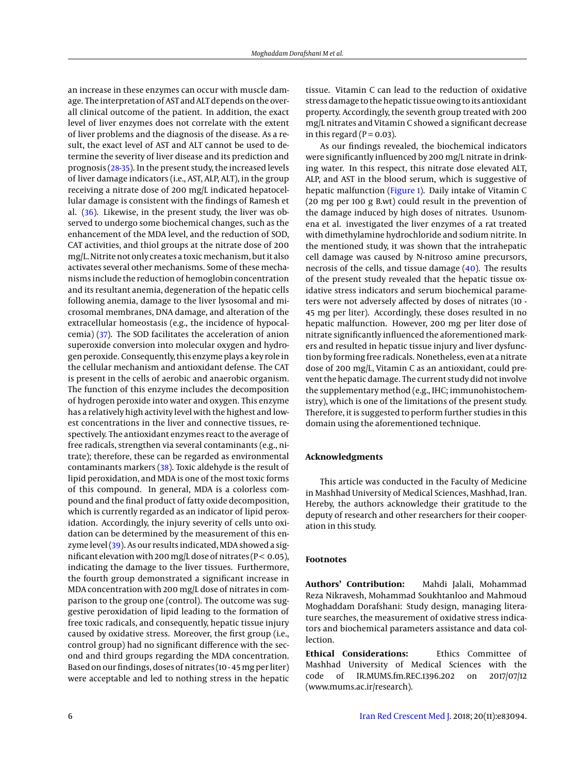an increase in these enzymes can occur with muscle damage. The interpretation of AST and ALT depends on the overall clinical outcome of the patient. In addition, the exact level of liver enzymes does not correlate with the extent of liver problems and the diagnosis of the disease. As a result, the exact level of AST and ALT cannot be used to determine the severity of liver disease and its prediction and prognosis [\(28](#page-6-25)[-35\)](#page-7-0). In the present study, the increased levels of liver damage indicators (i.e., AST, ALP, ALT), in the group receiving a nitrate dose of 200 mg/L indicated hepatocellular damage is consistent with the findings of Ramesh et al. [\(36\)](#page-7-1). Likewise, in the present study, the liver was observed to undergo some biochemical changes, such as the enhancement of the MDA level, and the reduction of SOD, CAT activities, and thiol groups at the nitrate dose of 200 mg/L. Nitrite not only creates a toxic mechanism, but it also activates several other mechanisms. Some of these mechanisms include the reduction of hemoglobin concentration and its resultant anemia, degeneration of the hepatic cells following anemia, damage to the liver lysosomal and microsomal membranes, DNA damage, and alteration of the extracellular homeostasis (e.g., the incidence of hypocalcemia) [\(37\)](#page-7-2). The SOD facilitates the acceleration of anion superoxide conversion into molecular oxygen and hydrogen peroxide. Consequently, this enzyme plays a key role in the cellular mechanism and antioxidant defense. The CAT is present in the cells of aerobic and anaerobic organism. The function of this enzyme includes the decomposition of hydrogen peroxide into water and oxygen. This enzyme has a relatively high activity level with the highest and lowest concentrations in the liver and connective tissues, respectively. The antioxidant enzymes react to the average of free radicals, strengthen via several contaminants (e.g., nitrate); therefore, these can be regarded as environmental contaminants markers [\(38\)](#page-7-3). Toxic aldehyde is the result of lipid peroxidation, and MDA is one of the most toxic forms of this compound. In general, MDA is a colorless compound and the final product of fatty oxide decomposition, which is currently regarded as an indicator of lipid peroxidation. Accordingly, the injury severity of cells unto oxidation can be determined by the measurement of this en-zyme level [\(39\)](#page-7-4). As our results indicated, MDA showed a significant elevation with 200 mg/L dose of nitrates ( $P < 0.05$ ), indicating the damage to the liver tissues. Furthermore, the fourth group demonstrated a significant increase in MDA concentration with 200 mg/L dose of nitrates in comparison to the group one (control). The outcome was suggestive peroxidation of lipid leading to the formation of free toxic radicals, and consequently, hepatic tissue injury caused by oxidative stress. Moreover, the first group (i.e., control group) had no significant difference with the second and third groups regarding the MDA concentration. Based on our findings, doses of nitrates (10 - 45mg per liter) were acceptable and led to nothing stress in the hepatic tissue. Vitamin C can lead to the reduction of oxidative stress damage to the hepatic tissue owing to its antioxidant property. Accordingly, the seventh group treated with 200 mg/L nitrates and Vitamin C showed a significant decrease in this regard ( $P = 0.03$ ).

As our findings revealed, the biochemical indicators were significantly influenced by 200 mg/L nitrate in drinking water. In this respect, this nitrate dose elevated ALT, ALP, and AST in the blood serum, which is suggestive of hepatic malfunction [\(Figure 1\)](#page-3-1). Daily intake of Vitamin C (20 mg per 100 g B.wt) could result in the prevention of the damage induced by high doses of nitrates. Usunomena et al. investigated the liver enzymes of a rat treated with dimethylamine hydrochloride and sodium nitrite. In the mentioned study, it was shown that the intrahepatic cell damage was caused by N-nitroso amine precursors, necrosis of the cells, and tissue damage [\(40\)](#page-7-5). The results of the present study revealed that the hepatic tissue oxidative stress indicators and serum biochemical parameters were not adversely affected by doses of nitrates (10 - 45 mg per liter). Accordingly, these doses resulted in no hepatic malfunction. However, 200 mg per liter dose of nitrate significantly influenced the aforementioned markers and resulted in hepatic tissue injury and liver dysfunction by forming free radicals. Nonetheless, even at a nitrate dose of 200 mg/L, Vitamin C as an antioxidant, could prevent the hepatic damage. The current study did not involve the supplementary method (e.g., IHC; immunohistochemistry), which is one of the limitations of the present study. Therefore, it is suggested to perform further studies in this domain using the aforementioned technique.

### **Acknowledgments**

This article was conducted in the Faculty of Medicine in Mashhad University of Medical Sciences, Mashhad, Iran. Hereby, the authors acknowledge their gratitude to the deputy of research and other researchers for their cooperation in this study.

#### **Footnotes**

**Authors' Contribution:** Mahdi Jalali, Mohammad Reza Nikravesh, Mohammad Soukhtanloo and Mahmoud Moghaddam Dorafshani: Study design, managing literature searches, the measurement of oxidative stress indicators and biochemical parameters assistance and data col**lection** 

**Ethical Considerations:** Ethics Committee of Mashhad University of Medical Sciences with the code of IR.MUMS.fm.REC.1396.202 on 2017/07/12 (www.mums.ac.ir/research).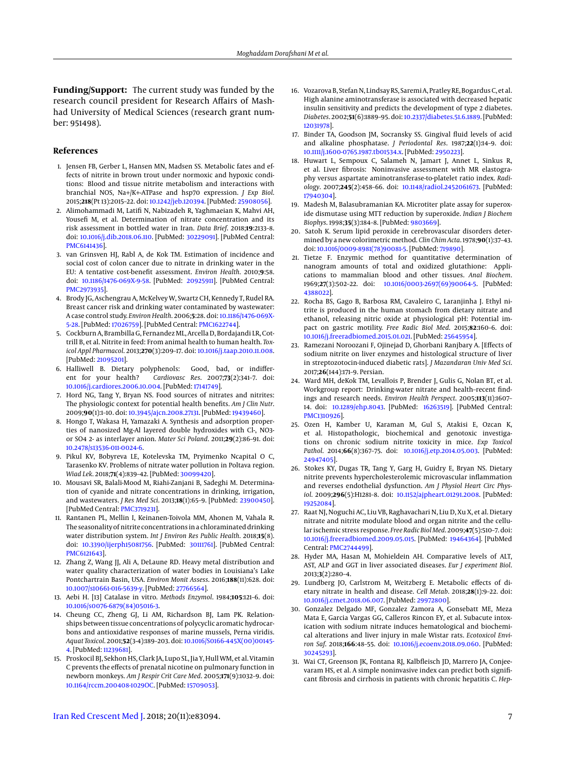**Funding/Support:** The current study was funded by the research council president for Research Affairs of Mashhad University of Medical Sciences (research grant number: 951498).

#### **References**

- <span id="page-6-0"></span>1. Jensen FB, Gerber L, Hansen MN, Madsen SS. Metabolic fates and effects of nitrite in brown trout under normoxic and hypoxic conditions: Blood and tissue nitrite metabolism and interactions with branchial NOS, Na+/K+-ATPase and hsp70 expression. *J Exp Biol*. 2015;**218**(Pt 13):2015–22. doi: [10.1242/jeb.120394.](http://dx.doi.org/10.1242/jeb.120394) [PubMed: [25908056\]](http://www.ncbi.nlm.nih.gov/pubmed/25908056).
- <span id="page-6-1"></span>2. Alimohammadi M, Latifi N, Nabizadeh R, Yaghmaeian K, Mahvi AH, Yousefi M, et al. Determination of nitrate concentration and its risk assessment in bottled water in Iran. *Data Brief*. 2018;**19**:2133–8. doi: [10.1016/j.dib.2018.06.110.](http://dx.doi.org/10.1016/j.dib.2018.06.110) [PubMed: [30229091\]](http://www.ncbi.nlm.nih.gov/pubmed/30229091). [PubMed Central: [PMC6141436\]](https://www.ncbi.nlm.nih.gov/pmc/articles/PMC6141436).
- <span id="page-6-2"></span>3. van Grinsven HJ, Rabl A, de Kok TM. Estimation of incidence and social cost of colon cancer due to nitrate in drinking water in the EU: A tentative cost-benefit assessment. *Environ Health*. 2010;**9**:58. doi: [10.1186/1476-069X-9-58.](http://dx.doi.org/10.1186/1476-069X-9-58) [PubMed: [20925911\]](http://www.ncbi.nlm.nih.gov/pubmed/20925911). [PubMed Central: [PMC2973935\]](https://www.ncbi.nlm.nih.gov/pmc/articles/PMC2973935).
- <span id="page-6-3"></span>4. Brody JG, Aschengrau A, McKelvey W, Swartz CH, Kennedy T, Rudel RA. Breast cancer risk and drinking water contaminated by wastewater: A case control study. *Environ Health*. 2006;**5**:28. doi: [10.1186/1476-069X-](http://dx.doi.org/10.1186/1476-069X-5-28)[5-28.](http://dx.doi.org/10.1186/1476-069X-5-28) [PubMed: [17026759\]](http://www.ncbi.nlm.nih.gov/pubmed/17026759). [PubMed Central: [PMC1622744\]](https://www.ncbi.nlm.nih.gov/pmc/articles/PMC1622744).
- <span id="page-6-4"></span>5. Cockburn A, Brambilla G, Fernandez ML, Arcella D, Bordajandi LR, Cottrill B, et al. Nitrite in feed: From animal health to human health. *Toxicol Appl Pharmacol*. 2013;**270**(3):209–17. doi: [10.1016/j.taap.2010.11.008.](http://dx.doi.org/10.1016/j.taap.2010.11.008) [PubMed: [21095201\]](http://www.ncbi.nlm.nih.gov/pubmed/21095201).
- <span id="page-6-5"></span>6. Halliwell B. Dietary polyphenols: Good, bad, or indifferent for your health? *Cardiovasc Res*. 2007;**73**(2):341–7. doi: [10.1016/j.cardiores.2006.10.004.](http://dx.doi.org/10.1016/j.cardiores.2006.10.004) [PubMed: [17141749\]](http://www.ncbi.nlm.nih.gov/pubmed/17141749).
- <span id="page-6-6"></span>7. Hord NG, Tang Y, Bryan NS. Food sources of nitrates and nitrites: The physiologic context for potential health benefits. *Am J Clin Nutr*. 2009;**90**(1):1–10. doi: [10.3945/ajcn.2008.27131.](http://dx.doi.org/10.3945/ajcn.2008.27131) [PubMed: [19439460\]](http://www.ncbi.nlm.nih.gov/pubmed/19439460).
- <span id="page-6-7"></span>8. Hongo T, Wakasa H, Yamazaki A. Synthesis and adsorption properties of nanosized Mg-Al layered double hydroxides with Cl-, NO3 or SO4 2- as interlayer anion. *Mater Sci Poland*. 2011;**29**(2):86–91. doi: [10.2478/s13536-011-0024-6.](http://dx.doi.org/10.2478/s13536-011-0024-6)
- <span id="page-6-8"></span>9. Pikul KV, Bobyreva LE, Kotelevska TM, Pryimenko Ncapital O C, Tarasenko KV. Problems of nitrate water pollution in Poltava region. *Wiad Lek*. 2018;**71**(4):839–42. [PubMed: [30099420\]](http://www.ncbi.nlm.nih.gov/pubmed/30099420).
- <span id="page-6-9"></span>10. Mousavi SR, Balali-Mood M, Riahi-Zanjani B, Sadeghi M. Determination of cyanide and nitrate concentrations in drinking, irrigation, and wastewaters. *J Res Med Sci*. 2013;**18**(1):65–9. [PubMed: [23900450\]](http://www.ncbi.nlm.nih.gov/pubmed/23900450). [PubMed Central: [PMC3719231\]](https://www.ncbi.nlm.nih.gov/pmc/articles/PMC3719231).
- 11. Rantanen PL, Mellin I, Keinanen-Toivola MM, Ahonen M, Vahala R. The seasonality of nitrite concentrations in a chloraminated drinking water distribution system. *Int J Environ Res Public Health*. 2018;**15**(8). doi: [10.3390/ijerph15081756.](http://dx.doi.org/10.3390/ijerph15081756) [PubMed: [30111761\]](http://www.ncbi.nlm.nih.gov/pubmed/30111761). [PubMed Central: [PMC6121643\]](https://www.ncbi.nlm.nih.gov/pmc/articles/PMC6121643).
- <span id="page-6-10"></span>12. Zhang Z, Wang JJ, Ali A, DeLaune RD. Heavy metal distribution and water quality characterization of water bodies in Louisiana's Lake Pontchartrain Basin, USA. *Environ Monit Assess*. 2016;**188**(11):628. doi: [10.1007/s10661-016-5639-y.](http://dx.doi.org/10.1007/s10661-016-5639-y) [PubMed: [27766564\]](http://www.ncbi.nlm.nih.gov/pubmed/27766564).
- <span id="page-6-11"></span>13. Aebi H. [13] Catalase in vitro. *Methods Enzymol*. 1984;**105**:121–6. doi: [10.1016/s0076-6879\(84\)05016-3.](http://dx.doi.org/10.1016/s0076-6879(84)05016-3)
- <span id="page-6-12"></span>14. Cheung CC, Zheng GJ, Li AM, Richardson BJ, Lam PK. Relationships between tissue concentrations of polycyclic aromatic hydrocarbons and antioxidative responses of marine mussels, Perna viridis. *Aquat Toxicol*. 2001;**52**(3-4):189–203. doi: [10.1016/S0166-445X\(00\)00145-](http://dx.doi.org/10.1016/S0166-445X(00)00145-4) [4.](http://dx.doi.org/10.1016/S0166-445X(00)00145-4) [PubMed: [11239681\]](http://www.ncbi.nlm.nih.gov/pubmed/11239681).
- <span id="page-6-13"></span>15. Proskocil BJ, Sekhon HS, Clark JA, Lupo SL, Jia Y, Hull WM, et al. Vitamin C prevents the effects of prenatal nicotine on pulmonary function in newborn monkeys. *Am J Respir Crit Care Med*. 2005;**171**(9):1032–9. doi: [10.1164/rccm.200408-1029OC.](http://dx.doi.org/10.1164/rccm.200408-1029OC) [PubMed: [15709053\]](http://www.ncbi.nlm.nih.gov/pubmed/15709053).
- <span id="page-6-14"></span>16. Vozarova B, Stefan N, Lindsay RS, Saremi A, Pratley RE, Bogardus C, et al. High alanine aminotransferase is associated with decreased hepatic insulin sensitivity and predicts the development of type 2 diabetes. *Diabetes*. 2002;**51**(6):1889–95. doi: [10.2337/diabetes.51.6.1889.](http://dx.doi.org/10.2337/diabetes.51.6.1889) [PubMed: [12031978\]](http://www.ncbi.nlm.nih.gov/pubmed/12031978).
- 17. Binder TA, Goodson JM, Socransky SS. Gingival fluid levels of acid and alkaline phosphatase. *J Periodontal Res*. 1987;**22**(1):14–9. doi: [10.1111/j.1600-0765.1987.tb01534.x.](http://dx.doi.org/10.1111/j.1600-0765.1987.tb01534.x) [PubMed: [2950223\]](http://www.ncbi.nlm.nih.gov/pubmed/2950223).
- <span id="page-6-15"></span>18. Huwart L, Sempoux C, Salameh N, Jamart J, Annet L, Sinkus R, et al. Liver fibrosis: Noninvasive assessment with MR elastography versus aspartate aminotransferase-to-platelet ratio index. *Radiology*. 2007;**245**(2):458–66. doi: [10.1148/radiol.2452061673.](http://dx.doi.org/10.1148/radiol.2452061673) [PubMed: [17940304\]](http://www.ncbi.nlm.nih.gov/pubmed/17940304).
- <span id="page-6-16"></span>19. Madesh M, Balasubramanian KA. Microtiter plate assay for superoxide dismutase using MTT reduction by superoxide. *Indian J Biochem Biophys*. 1998;**35**(3):184–8. [PubMed: [9803669\]](http://www.ncbi.nlm.nih.gov/pubmed/9803669).
- <span id="page-6-17"></span>20. Satoh K. Serum lipid peroxide in cerebrovascular disorders determined by a new colorimetric method. *Clin Chim Acta*. 1978;**90**(1):37–43. doi: [10.1016/0009-8981\(78\)90081-5.](http://dx.doi.org/10.1016/0009-8981(78)90081-5) [PubMed: [719890\]](http://www.ncbi.nlm.nih.gov/pubmed/719890).
- <span id="page-6-18"></span>21. Tietze F. Enzymic method for quantitative determination of nanogram amounts of total and oxidized glutathione: Applications to mammalian blood and other tissues. *Anal Biochem*. 1969;**27**(3):502–22. doi: [10.1016/0003-2697\(69\)90064-5.](http://dx.doi.org/10.1016/0003-2697(69)90064-5) [PubMed: [4388022\]](http://www.ncbi.nlm.nih.gov/pubmed/4388022).
- <span id="page-6-19"></span>22. Rocha BS, Gago B, Barbosa RM, Cavaleiro C, Laranjinha J. Ethyl nitrite is produced in the human stomach from dietary nitrate and ethanol, releasing nitric oxide at physiological pH: Potential impact on gastric motility. *Free Radic Biol Med*. 2015;**82**:160–6. doi: [10.1016/j.freeradbiomed.2015.01.021.](http://dx.doi.org/10.1016/j.freeradbiomed.2015.01.021) [PubMed: [25645954\]](http://www.ncbi.nlm.nih.gov/pubmed/25645954).
- <span id="page-6-20"></span>23. Ramezani Noroozani F, Ojinejad D, Ghorbani Ranjbary A. [Effects of sodium nitrite on liver enzymes and histological structure of liver in streptozotocin-induced diabetic rats]. *J Mazandaran Univ Med Sci*. 2017;**26**(144):171–9. Persian.
- <span id="page-6-21"></span>24. Ward MH, deKok TM, Levallois P, Brender J, Gulis G, Nolan BT, et al. Workgroup report: Drinking-water nitrate and health–recent findings and research needs. *Environ Health Perspect*. 2005;**113**(11):1607– 14. doi: [10.1289/ehp.8043.](http://dx.doi.org/10.1289/ehp.8043) [PubMed: [16263519\]](http://www.ncbi.nlm.nih.gov/pubmed/16263519). [PubMed Central: [PMC1310926\]](https://www.ncbi.nlm.nih.gov/pmc/articles/PMC1310926).
- <span id="page-6-22"></span>25. Ozen H, Kamber U, Karaman M, Gul S, Atakisi E, Ozcan K, et al. Histopathologic, biochemical and genotoxic investigations on chronic sodium nitrite toxicity in mice. *Exp Toxicol Pathol*. 2014;**66**(8):367–75. doi: [10.1016/j.etp.2014.05.003.](http://dx.doi.org/10.1016/j.etp.2014.05.003) [PubMed: [24947405\]](http://www.ncbi.nlm.nih.gov/pubmed/24947405).
- <span id="page-6-23"></span>26. Stokes KY, Dugas TR, Tang Y, Garg H, Guidry E, Bryan NS. Dietary nitrite prevents hypercholesterolemic microvascular inflammation and reverses endothelial dysfunction. *Am J Physiol Heart Circ Physiol*. 2009;**296**(5):H1281–8. doi: [10.1152/ajpheart.01291.2008.](http://dx.doi.org/10.1152/ajpheart.01291.2008) [PubMed: [19252084\]](http://www.ncbi.nlm.nih.gov/pubmed/19252084).
- <span id="page-6-24"></span>27. Raat NJ, Noguchi AC, Liu VB, Raghavachari N, Liu D, Xu X, et al. Dietary nitrate and nitrite modulate blood and organ nitrite and the cellular ischemic stress response. *Free Radic Biol Med*. 2009;**47**(5):510–7. doi: [10.1016/j.freeradbiomed.2009.05.015.](http://dx.doi.org/10.1016/j.freeradbiomed.2009.05.015) [PubMed: [19464364\]](http://www.ncbi.nlm.nih.gov/pubmed/19464364). [PubMed Central: [PMC2744499\]](https://www.ncbi.nlm.nih.gov/pmc/articles/PMC2744499).
- <span id="page-6-25"></span>28. Hyder MA, Hasan M, Mohieldein AH. Comparative levels of ALT, AST, ALP and GGT in liver associated diseases. *Eur J experiment Biol*. 2013;**3**(2):280–4.
- 29. Lundberg JO, Carlstrom M, Weitzberg E. Metabolic effects of dietary nitrate in health and disease. *Cell Metab*. 2018;**28**(1):9–22. doi: [10.1016/j.cmet.2018.06.007.](http://dx.doi.org/10.1016/j.cmet.2018.06.007) [PubMed: [29972800\]](http://www.ncbi.nlm.nih.gov/pubmed/29972800).
- 30. Gonzalez Delgado MF, Gonzalez Zamora A, Gonsebatt ME, Meza Mata E, Garcia Vargas GG, Calleros Rincon EY, et al. Subacute intoxication with sodium nitrate induces hematological and biochemical alterations and liver injury in male Wistar rats. *Ecotoxicol Environ Saf*. 2018;**166**:48–55. doi: [10.1016/j.ecoenv.2018.09.060.](http://dx.doi.org/10.1016/j.ecoenv.2018.09.060) [PubMed: [30245293\]](http://www.ncbi.nlm.nih.gov/pubmed/30245293).
- 31. Wai CT, Greenson JK, Fontana RJ, Kalbfleisch JD, Marrero JA, Conjeevaram HS, et al. A simple noninvasive index can predict both significant fibrosis and cirrhosis in patients with chronic hepatitis C. *Hep-*

[Iran Red Crescent Med J.](http://ircmj.com) 2018; 20(11):e83094. 7